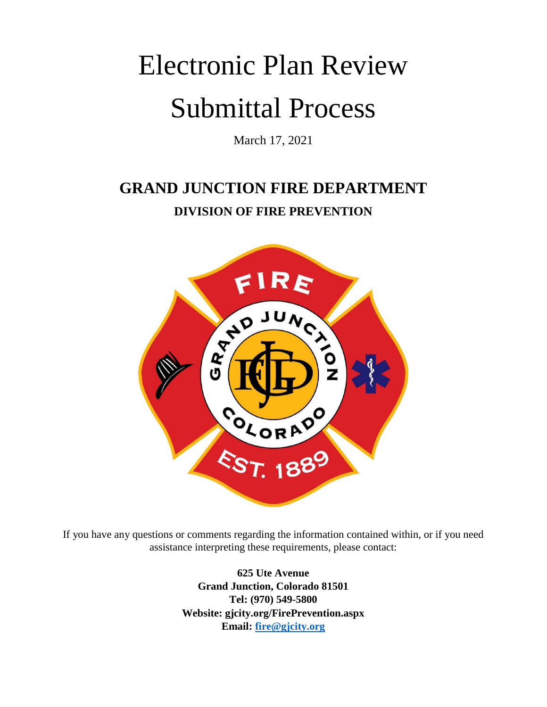# Electronic Plan Review Submittal Process

March 17, 2021

# **GRAND JUNCTION FIRE DEPARTMENT DIVISION OF FIRE PREVENTION**



If you have any questions or comments regarding the information contained within, or if you need assistance interpreting these requirements, please contact:

> **625 Ute Avenue Grand Junction, Colorado 81501 Tel: (970) 549-5800 Website: gjcity.org/FirePrevention.aspx Email: [fire@gjcity.org](mailto:fire@gjcity.org)**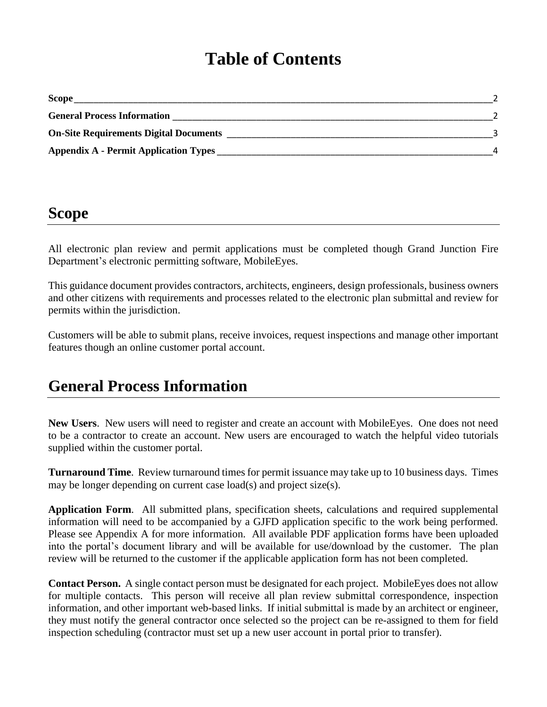# **Table of Contents**

| <b>Scope</b>                                  |  |
|-----------------------------------------------|--|
| <b>General Process Information</b>            |  |
| <b>On-Site Requirements Digital Documents</b> |  |
| <b>Appendix A - Permit Application Types</b>  |  |

## **Scope**

All electronic plan review and permit applications must be completed though Grand Junction Fire Department's electronic permitting software, MobileEyes.

This guidance document provides contractors, architects, engineers, design professionals, business owners and other citizens with requirements and processes related to the electronic plan submittal and review for permits within the jurisdiction.

Customers will be able to submit plans, receive invoices, request inspections and manage other important features though an online customer portal account.

## **General Process Information**

**New Users**. New users will need to register and create an account with MobileEyes. One does not need to be a contractor to create an account. New users are encouraged to watch the helpful video tutorials supplied within the customer portal.

**Turnaround Time**. Review turnaround times for permit issuance may take up to 10 business days. Times may be longer depending on current case load(s) and project size(s).

**Application Form**. All submitted plans, specification sheets, calculations and required supplemental information will need to be accompanied by a GJFD application specific to the work being performed. Please see Appendix A for more information. All available PDF application forms have been uploaded into the portal's document library and will be available for use/download by the customer. The plan review will be returned to the customer if the applicable application form has not been completed.

**Contact Person.** A single contact person must be designated for each project. MobileEyes does not allow for multiple contacts. This person will receive all plan review submittal correspondence, inspection information, and other important web-based links. If initial submittal is made by an architect or engineer, they must notify the general contractor once selected so the project can be re-assigned to them for field inspection scheduling (contractor must set up a new user account in portal prior to transfer).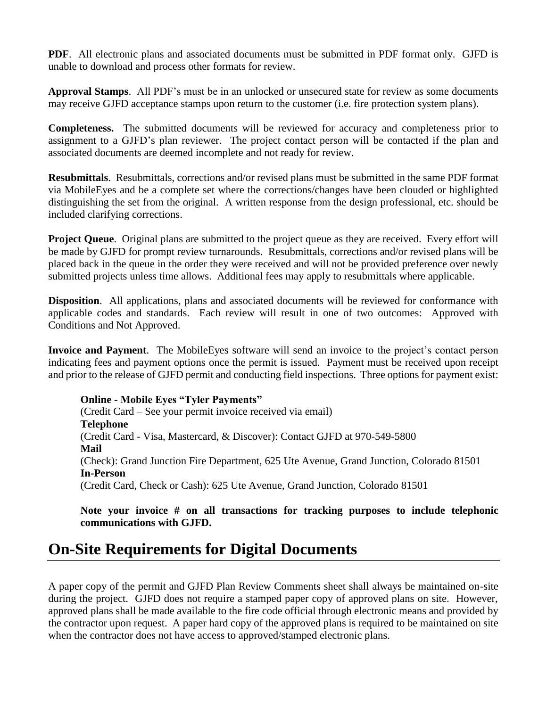**PDF**. All electronic plans and associated documents must be submitted in PDF format only. GJFD is unable to download and process other formats for review.

**Approval Stamps**. All PDF's must be in an unlocked or unsecured state for review as some documents may receive GJFD acceptance stamps upon return to the customer (i.e. fire protection system plans).

**Completeness.** The submitted documents will be reviewed for accuracy and completeness prior to assignment to a GJFD's plan reviewer. The project contact person will be contacted if the plan and associated documents are deemed incomplete and not ready for review.

**Resubmittals**. Resubmittals, corrections and/or revised plans must be submitted in the same PDF format via MobileEyes and be a complete set where the corrections/changes have been clouded or highlighted distinguishing the set from the original. A written response from the design professional, etc. should be included clarifying corrections.

**Project Queue.** Original plans are submitted to the project queue as they are received. Every effort will be made by GJFD for prompt review turnarounds. Resubmittals, corrections and/or revised plans will be placed back in the queue in the order they were received and will not be provided preference over newly submitted projects unless time allows. Additional fees may apply to resubmittals where applicable.

**Disposition**. All applications, plans and associated documents will be reviewed for conformance with applicable codes and standards. Each review will result in one of two outcomes: Approved with Conditions and Not Approved.

**Invoice and Payment**. The MobileEyes software will send an invoice to the project's contact person indicating fees and payment options once the permit is issued. Payment must be received upon receipt and prior to the release of GJFD permit and conducting field inspections. Three options for payment exist:

**Online - Mobile Eyes "Tyler Payments"** (Credit Card – See your permit invoice received via email) **Telephone** (Credit Card - Visa, Mastercard, & Discover): Contact GJFD at 970-549-5800 **Mail** (Check): Grand Junction Fire Department, 625 Ute Avenue, Grand Junction, Colorado 81501 **In-Person** (Credit Card, Check or Cash): 625 Ute Avenue, Grand Junction, Colorado 81501

**Note your invoice # on all transactions for tracking purposes to include telephonic communications with GJFD.** 

## **On-Site Requirements for Digital Documents**

A paper copy of the permit and GJFD Plan Review Comments sheet shall always be maintained on-site during the project. GJFD does not require a stamped paper copy of approved plans on site. However, approved plans shall be made available to the fire code official through electronic means and provided by the contractor upon request. A paper hard copy of the approved plans is required to be maintained on site when the contractor does not have access to approved/stamped electronic plans.